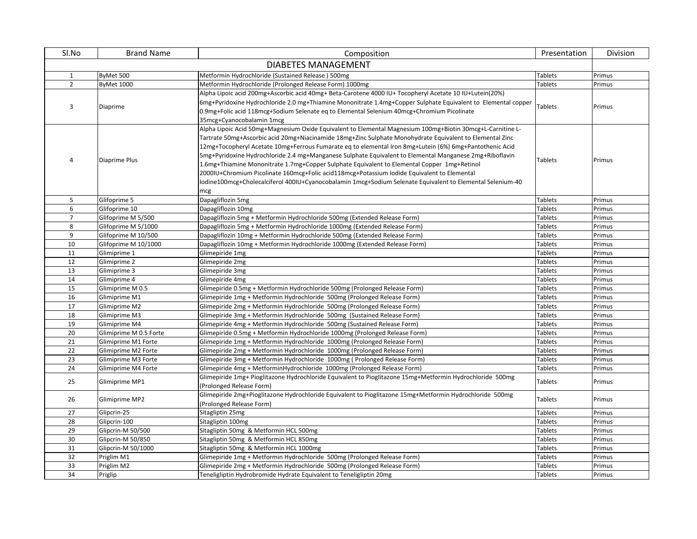| Sl.No               | <b>Brand Name</b>      | Composition                                                                                                   | Presentation   | Division |
|---------------------|------------------------|---------------------------------------------------------------------------------------------------------------|----------------|----------|
| DIABETES MANAGEMENT |                        |                                                                                                               |                |          |
| $\mathbf{1}$        | ByMet 500              | Metformin Hydrochloride (Sustained Release) 500mg                                                             | <b>Tablets</b> | Primus   |
| $\overline{2}$      | <b>ByMet 1000</b>      | Metformin Hydrochloride (Prolonged Release Form) 1000mg                                                       | <b>Tablets</b> | Primus   |
|                     |                        | Alpha Lipoic acid 200mg+Ascorbic acid 40mg+ Beta-Carotene 4000 IU+ Tocopheryl Acetate 10 IU+Lutein(20%)       |                |          |
|                     |                        | 6mg+Pyridoxine Hydrochloride 2.0 mg+Thiamine Mononitrate 1.4mg+Copper Sulphate Equivalent to Elemental copper | <b>Tablets</b> | Primus   |
| 3                   | Diaprime               | 0.9mg+Folic acid 118mcg+Sodium Selenate eq to Elemental Selenium 40mcg+Chromium Picolinate                    |                |          |
|                     |                        | 35mcg+Cyanocobalamin 1mcg                                                                                     |                |          |
|                     |                        | Alpha Lipoic Acid 50mg+Magnesium Oxide Equivalent to Elemental Magnesium 100mg+Biotin 30mcg+L-Carnitine L-    |                |          |
|                     |                        | Tartrate 50mg+Ascorbic acid 20mg+Niacinamide 18mg+Zinc Sulphate Monohydrate Equivalent to Elemental Zinc      |                |          |
|                     |                        | 12mg+Tocopheryl Acetate 10mg+Ferrous Fumarate eq to elemental Iron 8mg+Lutein (6%) 6mg+Pantothenic Acid       |                |          |
| 4                   | Diaprime Plus          | 5mg+Pyridoxine Hydrochloride 2.4 mg+Manganese Sulphate Equivalent to Elemental Manganese 2mg+Riboflavin       | <b>Tablets</b> | Primus   |
|                     |                        | 1.6mg+Thiamine Mononitrate 1.7mg+Copper Sulphate Equivalent to Elemental Copper 1mg+Retinol                   |                |          |
|                     |                        | 2000IU+Chromium Picolinate 160mcg+Folic acid118mcg+Potassium Iodide Equivalent to Elemental                   |                |          |
|                     |                        | lodine100mcg+Cholecalciferol 400IU+Cyanocobalamin 1mcg+Sodium Selenate Equivalent to Elemental Selenium-40    |                |          |
|                     |                        | mcg                                                                                                           |                |          |
| 5                   | Glifoprime 5           | Dapagliflozin 5mg                                                                                             | <b>Tablets</b> | Primus   |
| 6                   | Glifoprime 10          | Dapagliflozin 10mg                                                                                            | <b>Tablets</b> | Primus   |
| $\overline{7}$      | Glifoprime M 5/500     | Dapagliflozin 5mg + Metformin Hydrochloride 500mg (Extended Release Form)                                     | <b>Tablets</b> | Primus   |
| 8                   | Glifoprime M 5/1000    | Dapagliflozin 5mg + Metformin Hydrochloride 1000mg (Extended Release Form)                                    | <b>Tablets</b> | Primus   |
| 9                   | Glifoprime M 10/500    | Dapagliflozin 10mg + Metformin Hydrochloride 500mg (Extended Release Form)                                    | <b>Tablets</b> | Primus   |
| 10                  | Glifoprime M 10/1000   | Dapagliflozin 10mg + Metformin Hydrochloride 1000mg (Extended Release Form)                                   | <b>Tablets</b> | Primus   |
| 11                  | Glimiprime 1           | Glimepiride 1mg                                                                                               | <b>Tablets</b> | Primus   |
| 12                  | Glimiprime 2           | Glimepiride 2mg                                                                                               | <b>Tablets</b> | Primus   |
| 13                  | Glimiprime 3           | Glimepiride 3mg                                                                                               | <b>Tablets</b> | Primus   |
| 14                  | Glimiprime 4           | Glimepiride 4mg                                                                                               | <b>Tablets</b> | Primus   |
| 15                  | Glimiprime M 0.5       | Glimepiride 0.5mg + Metformin Hydrochloride 500mg (Prolonged Release Form)                                    | <b>Tablets</b> | Primus   |
| 16                  | Glimiprime M1          | Glimepiride 1mg + Metformin Hydrochloride 500mg (Prolonged Release Form)                                      | <b>Tablets</b> | Primus   |
| 17                  | Glimiprime M2          | Glimepiride 2mg + Metformin Hydrochloride 500mg (Prolonged Release Form)                                      | <b>Tablets</b> | Primus   |
| 18                  | Glimiprime M3          | Glimepiride 3mg + Metformin Hydrochloride 500mg (Sustained Release Form)                                      | <b>Tablets</b> | Primus   |
| 19                  | Glimiprime M4          | Glimepiride 4mg + Metformin Hydrochloride 500mg (Sustained Release Form)                                      | <b>Tablets</b> | Primus   |
| 20                  | Glimiprime M 0.5 Forte | Glimepiride 0.5mg + Metformin Hydrochloride 1000mg (Prolonged Release Form)                                   | Tablets        | Primus   |
| 21                  | Glimiprime M1 Forte    | Glimepiride 1mg + Metformin Hydrochloride 1000mg (Prolonged Release Form)                                     | Tablets        | Primus   |
| 22                  | Glimiprime M2 Forte    | Glimepiride 2mg + Metformin Hydrochloride 1000mg (Prolonged Release Form)                                     | <b>Tablets</b> | Primus   |
| 23                  | Glimiprime M3 Forte    | Glimepiride 3mg + Metformin Hydrochloride 1000mg (Prolonged Release Form)                                     | Tablets        | Primus   |
| 24                  | Glimiprime M4 Forte    | Glimepiride 4mg + MetforminHydrochloride 1000mg (Prolonged Release Form)                                      | <b>Tablets</b> | Primus   |
| 25                  | Glimiprime MP1         | Glimepiride 1mg+ Pioglitazone Hydrochloride Equivalent to Pioglitazone 15mg+Metformin Hydrochloride 500mg     | <b>Tablets</b> | Primus   |
|                     |                        | (Prolonged Release Form)                                                                                      |                |          |
| 26                  | Glimiprime MP2         | Glimepiride 2mg+Pioglitazone Hydrochloride Equivalent to Pioglitazone 15mg+Metformin Hydrochloride 500mg      | Tablets        | Primus   |
|                     |                        | (Prolonged Release Form)                                                                                      |                |          |
| 27                  | Glipcrin-25            | Sitagliptin 25mg                                                                                              | <b>Tablets</b> | Primus   |
| 28                  | Glipcrin-100           | Sitagliptin 100mg                                                                                             | <b>Tablets</b> | Primus   |
| 29                  | Glipcrin-M 50/500      | Sitagliptin 50mg & Metformin HCL 500mg                                                                        | <b>Tablets</b> | Primus   |
| 30                  | Glipcrin-M 50/850      | Sitagliptin 50mg & Metformin HCL 850mg                                                                        | <b>Tablets</b> | Primus   |
| 31                  | Glipcrin-M 50/1000     | Sitagliptin 50mg & Metformin HCL 1000mg                                                                       | <b>Tablets</b> | Primus   |
| 32                  | Priglim M1             | Glimepiride 1mg + Metformin Hydrochloride 500mg (Prolonged Release Form)                                      | <b>Tablets</b> | Primus   |
| 33                  | Priglim M2             | Glimepiride 2mg + Metformin Hydrochloride 500mg (Prolonged Release Form)                                      | <b>Tablets</b> | Primus   |
| 34                  | Priglip                | Teneligliptin Hydrobromide Hydrate Equivalent to Teneligliptin 20mg                                           | <b>Tablets</b> | Primus   |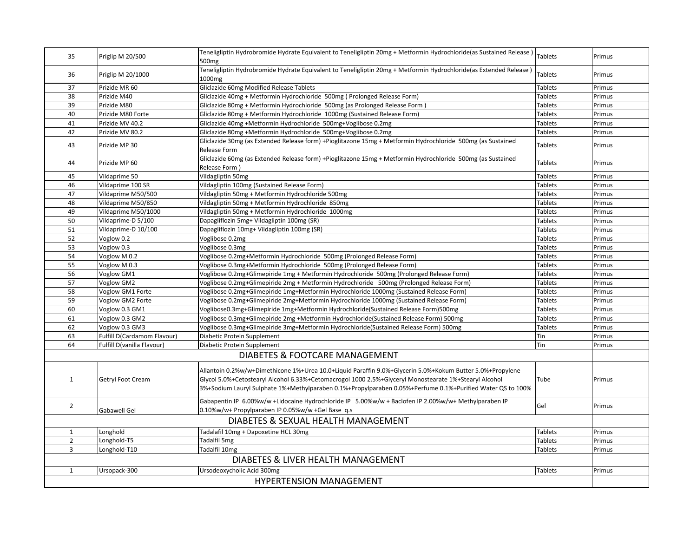| 35                                  | Priglip M 20/500            | Teneligliptin Hydrobromide Hydrate Equivalent to Teneligliptin 20mg + Metformin Hydrochloride(as Sustained Release)<br>500 <sub>mg</sub>                                                                                                                                                                                         | Tablets        | Primus |
|-------------------------------------|-----------------------------|----------------------------------------------------------------------------------------------------------------------------------------------------------------------------------------------------------------------------------------------------------------------------------------------------------------------------------|----------------|--------|
| 36                                  | Priglip M 20/1000           | Teneligliptin Hydrobromide Hydrate Equivalent to Teneligliptin 20mg + Metformin Hydrochloride(as Extended Release)<br>1000mg                                                                                                                                                                                                     | Tablets        | Primus |
| 37                                  | Prizide MR 60               | Gliclazide 60mg Modified Release Tablets                                                                                                                                                                                                                                                                                         | <b>Tablets</b> | Primus |
| 38                                  | Prizide M40                 | Gliclazide 40mg + Metformin Hydrochloride 500mg (Prolonged Release Form)                                                                                                                                                                                                                                                         | <b>Tablets</b> | Primus |
| 39                                  | Prizide M80                 | Gliclazide 80mg + Metformin Hydrochloride 500mg (as Prolonged Release Form)                                                                                                                                                                                                                                                      | <b>Tablets</b> | Primus |
| 40                                  | Prizide M80 Forte           | Gliclazide 80mg + Metformin Hydrochloride 1000mg (Sustained Release Form)                                                                                                                                                                                                                                                        | <b>Tablets</b> | Primus |
| 41                                  | Prizide MV 40.2             | Gliclazide 40mg +Metformin Hydrochloride 500mg+Voglibose 0.2mg                                                                                                                                                                                                                                                                   | <b>Tablets</b> | Primus |
| 42                                  | Prizide MV 80.2             | Gliclazide 80mg +Metformin Hydrochloride 500mg+Voglibose 0.2mg                                                                                                                                                                                                                                                                   | <b>Tablets</b> | Primus |
| 43                                  | Prizide MP 30               | Gliclazide 30mg (as Extended Release form) +Pioglitazone 15mg + Metformin Hydrochloride 500mg (as Sustained<br>Release Form                                                                                                                                                                                                      | <b>Tablets</b> | Primus |
| 44                                  | Prizide MP 60               | Gliclazide 60mg (as Extended Release form) +Pioglitazone 15mg + Metformin Hydrochloride 500mg (as Sustained<br>Release Form                                                                                                                                                                                                      | <b>Tablets</b> | Primus |
| 45                                  | Vildaprime 50               | Vildagliptin 50mg                                                                                                                                                                                                                                                                                                                | <b>Tablets</b> | Primus |
| 46                                  | Vildaprime 100 SR           | Vildagliptin 100mg (Sustained Release Form)                                                                                                                                                                                                                                                                                      | <b>Tablets</b> | Primus |
| 47                                  | Vildaprime M50/500          | Vildagliptin 50mg + Metformin Hydrochloride 500mg                                                                                                                                                                                                                                                                                | <b>Tablets</b> | Primus |
| 48                                  | Vildaprime M50/850          | Vildagliptin 50mg + Metformin Hydrochloride 850mg                                                                                                                                                                                                                                                                                | <b>Tablets</b> | Primus |
| 49                                  | Vildaprime M50/1000         | Vildagliptin 50mg + Metformin Hydrochloride 1000mg                                                                                                                                                                                                                                                                               | Tablets        | Primus |
| 50                                  | Vildaprime-D 5/100          | Dapagliflozin 5mg+ Vildagliptin 100mg (SR)                                                                                                                                                                                                                                                                                       | Tablets        | Primus |
| 51                                  | Vildaprime-D 10/100         | Dapagliflozin 10mg+ Vildagliptin 100mg (SR)                                                                                                                                                                                                                                                                                      | Tablets        | Primus |
| 52                                  | Voglow 0.2                  | Voglibose 0.2mg                                                                                                                                                                                                                                                                                                                  | <b>Tablets</b> | Primus |
| 53                                  | Voglow 0.3                  | Voglibose 0.3mg                                                                                                                                                                                                                                                                                                                  | <b>Tablets</b> | Primus |
| 54                                  | Voglow M 0.2                | Voglibose 0.2mg+Metformin Hydrochloride 500mg (Prolonged Release Form)                                                                                                                                                                                                                                                           | <b>Tablets</b> | Primus |
| 55                                  | Voglow M 0.3                | Voglibose 0.3mg+Metformin Hydrochloride 500mg (Prolonged Release Form)                                                                                                                                                                                                                                                           | <b>Tablets</b> | Primus |
| 56                                  | Voglow GM1                  | Voglibose 0.2mg+Glimepiride 1mg + Metformin Hydrochloride 500mg (Prolonged Release Form)                                                                                                                                                                                                                                         | <b>Tablets</b> | Primus |
| 57                                  | Voglow GM2                  | Voglibose 0.2mg+Glimepiride 2mg + Metformin Hydrochloride 500mg (Prolonged Release Form)                                                                                                                                                                                                                                         | Tablets        | Primus |
| 58                                  | Voglow GM1 Forte            | Voglibose 0.2mg+Glimepiride 1mg+Metformin Hydrochloride 1000mg (Sustained Release Form)                                                                                                                                                                                                                                          | <b>Tablets</b> | Primus |
| 59                                  | Voglow GM2 Forte            | Voglibose 0.2mg+Glimepiride 2mg+Metformin Hydrochloride 1000mg (Sustained Release Form)                                                                                                                                                                                                                                          | <b>Tablets</b> | Primus |
| 60                                  | Voglow 0.3 GM1              | Voglibose0.3mg+Glimepiride 1mg+Metformin Hydrochloride(Sustained Release Form)500mg                                                                                                                                                                                                                                              | <b>Tablets</b> | Primus |
| 61                                  | Voglow 0.3 GM2              | Voglibose 0.3mg+Glimepiride 2mg +Metformin Hydrochloride(Sustained Release Form) 500mg                                                                                                                                                                                                                                           | <b>Tablets</b> | Primus |
| 62                                  | Voglow 0.3 GM3              | Voglibose 0.3mg+Glimepiride 3mg+Metformin Hydrochloride(Sustained Release Form) 500mg                                                                                                                                                                                                                                            | <b>Tablets</b> | Primus |
| 63                                  | Fulfill D(Cardamom Flavour) | Diabetic Protein Supplement                                                                                                                                                                                                                                                                                                      | Tin            | Primus |
| 64                                  | Fulfill D(vanilla Flavour)  | Diabetic Protein Supplement                                                                                                                                                                                                                                                                                                      | Tin            | Primus |
|                                     |                             | DIABETES & FOOTCARE MANAGEMENT                                                                                                                                                                                                                                                                                                   |                |        |
| $\mathbf{1}$                        | Getryl Foot Cream           | Allantoin 0.2%w/w+Dimethicone 1%+Urea 10.0+Liquid Paraffin 9.0%+Glycerin 5.0%+Kokum Butter 5.0%+Propylene<br>Glycol 5.0%+Cetostearyl Alcohol 6.33%+Cetomacrogol 1000 2.5%+Glyceryl Monostearate 1%+Stearyl Alcohol<br>3%+Sodium Lauryl Sulphate 1%+Methylparaben 0.1%+Propylparaben 0.05%+Perfume 0.1%+Purified Water QS to 100% | Tube           | Primus |
| $\overline{2}$                      | Gabawell Gel                | Gabapentin IP 6.00%w/w +Lidocaine Hydrochloride IP 5.00%w/w + Baclofen IP 2.00%w/w+ Methylparaben IP<br>0.10%w/w+ Propylparaben IP 0.05%w/w +Gel Base q.s                                                                                                                                                                        | Gel            | Primus |
| DIABETES & SEXUAL HEALTH MANAGEMENT |                             |                                                                                                                                                                                                                                                                                                                                  |                |        |
| $\mathbf{1}$                        | Longhold                    | Tadalafil 10mg + Dapoxetine HCL 30mg                                                                                                                                                                                                                                                                                             | Tablets        | Primus |
| $\overline{2}$                      | Longhold-T5                 | Tadalfil 5mg                                                                                                                                                                                                                                                                                                                     | <b>Tablets</b> | Primus |
| 3                                   | Longhold-T10                | Tadalfil 10mg                                                                                                                                                                                                                                                                                                                    | <b>Tablets</b> | Primus |
|                                     |                             | DIABETES & LIVER HEALTH MANAGEMENT                                                                                                                                                                                                                                                                                               |                |        |
|                                     |                             |                                                                                                                                                                                                                                                                                                                                  |                |        |
| $\mathbf{1}$                        | Ursopack-300                | Ursodeoxycholic Acid 300mg                                                                                                                                                                                                                                                                                                       | <b>Tablets</b> | Primus |
| <b>HYPERTENSION MANAGEMENT</b>      |                             |                                                                                                                                                                                                                                                                                                                                  |                |        |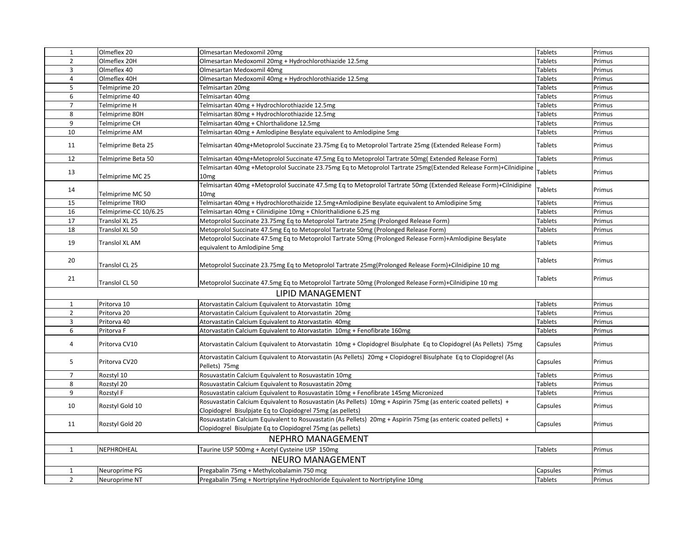| $\mathbf{1}$             | Olmeflex 20           | Olmesartan Medoxomil 20mg                                                                                                                                                    | <b>Tablets</b> | Primus |
|--------------------------|-----------------------|------------------------------------------------------------------------------------------------------------------------------------------------------------------------------|----------------|--------|
| $\overline{2}$           | Olmeflex 20H          | Olmesartan Medoxomil 20mg + Hydrochlorothiazide 12.5mg                                                                                                                       | <b>Tablets</b> | Primus |
| 3                        | Olmeflex 40           | Olmesartan Medoxomil 40mg                                                                                                                                                    | Tablets        | Primus |
| 4                        | Olmeflex 40H          | Olmesartan Medoxomil 40mg + Hydrochlorothiazide 12.5mg                                                                                                                       | <b>Tablets</b> | Primus |
| 5                        | Telmiprime 20         | Telmisartan 20mg                                                                                                                                                             | Tablets        | Primus |
| 6                        | Telmiprime 40         | Telmisartan 40mg                                                                                                                                                             | <b>Tablets</b> | Primus |
| $\overline{7}$           | Telmiprime H          | Telmisartan 40mg + Hydrochlorothiazide 12.5mg                                                                                                                                | Tablets        | Primus |
| 8                        | Telmiprime 80H        | Telmisartan 80mg + Hydrochlorothiazide 12.5mg                                                                                                                                | <b>Tablets</b> | Primus |
| 9                        | Telmiprime CH         | Telmisartan 40mg + Chlorthalidone 12.5mg                                                                                                                                     | Tablets        | Primus |
| 10                       | Telmiprime AM         | Telmisartan 40mg + Amlodipine Besylate equivalent to Amlodipine 5mg                                                                                                          | Tablets        | Primus |
| 11                       | Telmiprime Beta 25    | Telmisartan 40mg+Metoprolol Succinate 23.75mg Eq to Metoprolol Tartrate 25mg (Extended Release Form)                                                                         | <b>Tablets</b> | Primus |
| 12                       | Telmiprime Beta 50    | Telmisartan 40mg+Metoprolol Succinate 47.5mg Eq to Metoprolol Tartrate 50mg(Extended Release Form)                                                                           | Tablets        | Primus |
| 13                       | Telmiprime MC 25      | Telmisartan 40mg +Metoprolol Succinate 23.75mg Eq to Metoprolol Tartrate 25mg(Extended Release Form)+Cilnidipine<br>10mg                                                     | Tablets        | Primus |
| 14                       | Telmiprime MC 50      | Telmisartan 40mg +Metoprolol Succinate 47.5mg Eq to Metoprolol Tartrate 50mg (Extended Release Form)+Cilnidipine<br>10mg                                                     | Tablets        | Primus |
| 15                       | Telmiprime TRIO       | Telmisartan 40mg + Hydrochlorothaizide 12.5mg+Amlodipine Besylate equivalent to Amlodipine 5mg                                                                               | <b>Tablets</b> | Primus |
| 16                       | Telmiprime-CC 10/6.25 | Telmisartan 40mg + Cilinidipine 10mg + Chlorithalidione 6.25 mg                                                                                                              | <b>Tablets</b> | Primus |
| 17                       | Translol XL 25        | Metoprolol Succinate 23.75mg Eq to Metoprolol Tartrate 25mg (Prolonged Release Form)                                                                                         | Tablets        | Primus |
| 18                       | Translol XL 50        | Metoprolol Succinate 47.5mg Eq to Metoprolol Tartrate 50mg (Prolonged Release Form)                                                                                          | Tablets        | Primus |
| 19                       | Translol XL AM        | Metoprolol Succinate 47.5mg Eq to Metoprolol Tartrate 50mg (Prolonged Release Form)+Amlodipine Besylate<br>equivalent to Amlodipine 5mg                                      | Tablets        | Primus |
| 20                       | Franslol CL 25        | Metoprolol Succinate 23.75mg Eq to Metoprolol Tartrate 25mg(Prolonged Release Form)+Cilnidipine 10 mg                                                                        | Tablets        | Primus |
| 21                       | Translol CL 50        | Metoprolol Succinate 47.5mg Eq to Metoprolol Tartrate 50mg (Prolonged Release Form)+Cilnidipine 10 mg                                                                        | Tablets        | Primus |
| LIPID MANAGEMENT         |                       |                                                                                                                                                                              |                |        |
| $\mathbf{1}$             | Pritorva 10           | Atorvastatin Calcium Equivalent to Atorvastatin 10mg                                                                                                                         | <b>Tablets</b> | Primus |
| $\overline{2}$           | Pritorva 20           | Atorvastatin Calcium Equivalent to Atorvastatin 20mg                                                                                                                         | <b>Tablets</b> | Primus |
| 3                        | Pritorva 40           | Atorvastatin Calcium Equivalent to Atorvastatin 40mg                                                                                                                         | <b>Tablets</b> | Primus |
| 6                        | Pritorva F            | Atorvastatin Calcium Equivalent to Atorvastatin 10mg + Fenofibrate 160mg                                                                                                     | <b>Tablets</b> | Primus |
| 4                        | Pritorva CV10         | Atorvastatin Calcium Equivalent to Atorvastatin 10mg + Clopidogrel Bisulphate Eq to Clopidogrel (As Pellets) 75mg                                                            | Capsules       | Primus |
| 5                        | Pritorva CV20         | Atorvastatin Calcium Equivalent to Atorvastatin (As Pellets) 20mg + Clopidogrel Bisulphate Eq to Clopidogrel (As<br>Pellets) 75mg                                            | Capsules       | Primus |
| $\overline{7}$           | Rozstyl 10            | Rosuvastatin Calcium Equivalent to Rosuvastatin 10mg                                                                                                                         | <b>Tablets</b> | Primus |
| 8                        | Rozstyl 20            | Rosuvastatin Calcium Equivalent to Rosuvastatin 20mg                                                                                                                         | <b>Tablets</b> | Primus |
| 9                        | Rozstyl F             | Rosuvastatin calcium Equivalent to Rosuvastatin 10mg + Fenofibrate 145mg Micronized                                                                                          | <b>Tablets</b> | Primus |
| 10                       | Rozstyl Gold 10       | Rosuvastatin Calcium Equivalent to Rosuvastatin (As Pellets) 10mg + Aspirin 75mg (as enteric coated pellets) +<br>Clopidogrel Bisulpjate Eq to Clopidogrel 75mg (as pellets) | Capsules       | Primus |
| 11                       | Rozstyl Gold 20       | Rosuvastatin Calcium Equivalent to Rosuvastatin (As Pellets) 20mg + Aspirin 75mg (as enteric coated pellets) +<br>Clopidogrel Bisulpjate Eq to Clopidogrel 75mg (as pellets) | Capsules       | Primus |
| <b>NEPHRO MANAGEMENT</b> |                       |                                                                                                                                                                              |                |        |
| $\mathbf{1}$             | NEPHROHEAL            | Taurine USP 500mg + Acetyl Cysteine USP 150mg                                                                                                                                | <b>Tablets</b> | Primus |
| NEURO MANAGEMENT         |                       |                                                                                                                                                                              |                |        |
| 1                        | Neuroprime PG         | Pregabalin 75mg + Methylcobalamin 750 mcg                                                                                                                                    | Capsules       | Primus |
| $\overline{2}$           | Neuroprime NT         | Pregabalin 75mg + Nortriptyline Hydrochloride Equivalent to Nortriptyline 10mg                                                                                               | <b>Tablets</b> | Primus |
|                          |                       |                                                                                                                                                                              |                |        |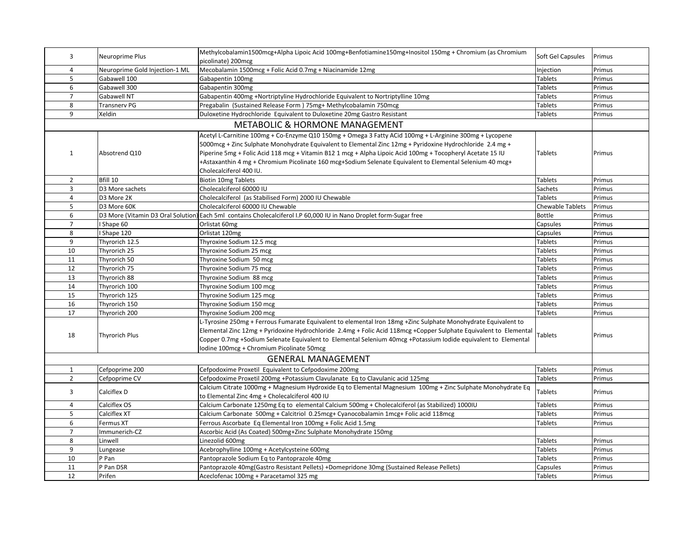| 3              | Neuroprime Plus                | Methylcobalamin1500mcg+Alpha Lipoic Acid 100mg+Benfotiamine150mg+Inositol 150mg + Chromium (as Chromium            | Soft Gel Capsules | Primus |
|----------------|--------------------------------|--------------------------------------------------------------------------------------------------------------------|-------------------|--------|
|                |                                | picolinate) 200mcg                                                                                                 |                   |        |
| 4              | Neuroprime Gold Injection-1 ML | Mecobalamin 1500mcg + Folic Acid 0.7mg + Niacinamide 12mg                                                          | Injection         | Primus |
| 5              | Gabawell 100                   | Gabapentin 100mg                                                                                                   | Tablets           | Primus |
| 6              | Gabawell 300                   | Gabapentin 300mg                                                                                                   | <b>Tablets</b>    | Primus |
| $\overline{7}$ | Gabawell NT                    | Gabapentin 400mg +Nortriptyline Hydrochloride Equivalent to Nortriptylline 10mg                                    | <b>Tablets</b>    | Primus |
| 8              | <b>Transnerv PG</b>            | Pregabalin (Sustained Release Form) 75mg+ Methylcobalamin 750mcg                                                   | <b>Tablets</b>    | Primus |
| 9              | Xeldin                         | Duloxetine Hydrochloride Equivalent to Duloxetine 20mg Gastro Resistant                                            | <b>Tablets</b>    | Primus |
|                |                                | <b>METABOLIC &amp; HORMONE MANAGEMENT</b>                                                                          |                   |        |
|                |                                | Acetyl L-Carnitine 100mg + Co-Enzyme Q10 150mg + Omega 3 Fatty ACid 100mg + L-Arginine 300mg + Lycopene            |                   |        |
|                |                                | 5000mcg + Zinc Sulphate Monohydrate Equivalent to Elemental Zinc 12mg + Pyridoxine Hydrochloride 2.4 mg +          |                   |        |
| $\mathbf{1}$   | Absotrend Q10                  | Piperine 5mg + Folic Acid 118 mcg + Vitamin B12 1 mcg + Alpha Lipoic Acid 100mg + Tocopheryl Acetate 15 IU         | <b>Tablets</b>    | Primus |
|                |                                | +Astaxanthin 4 mg + Chromium Picolinate 160 mcg+Sodium Selenate Equivalent to Elemental Selenium 40 mcg+           |                   |        |
|                |                                | Cholecalciferol 400 IU.                                                                                            |                   |        |
| $\overline{2}$ | Bfill 10                       | <b>Biotin 10mg Tablets</b>                                                                                         | <b>Tablets</b>    | Primus |
| 3              | D3 More sachets                | Cholecalciferol 60000 IU                                                                                           | Sachets           | Primus |
| $\overline{4}$ | D3 More 2K                     | Cholecalciferol (as Stabilised Form) 2000 IU Chewable                                                              | <b>Tablets</b>    | Primus |
| 5              | D3 More 60K                    | Cholecalciferol 60000 IU Chewable                                                                                  | Chewable Tablets  | Primus |
| 6              |                                | D3 More (Vitamin D3 Oral Solution) Each 5ml contains Cholecalciferol I.P 60,000 IU in Nano Droplet form-Sugar free | <b>Bottle</b>     | Primus |
| $\overline{7}$ | I Shape 60                     | Orlistat 60mg                                                                                                      | Capsules          | Primus |
| 8              | I Shape 120                    | Orlistat 120mg                                                                                                     | Capsules          | Primus |
| 9              | Thyrorich 12.5                 | Thyroxine Sodium 12.5 mcg                                                                                          | <b>Tablets</b>    | Primus |
| 10             | Thyrorich 25                   | Thyroxine Sodium 25 mcg                                                                                            | <b>Tablets</b>    | Primus |
| 11             | Thyrorich 50                   | Thyroxine Sodium 50 mcg                                                                                            | <b>Tablets</b>    | Primus |
| 12             | Thyrorich 75                   | Thyroxine Sodium 75 mcg                                                                                            | Tablets           | Primus |
| 13             | Thyrorich 88                   | Thyroxine Sodium 88 mcg                                                                                            | <b>Tablets</b>    | Primus |
| 14             | Thyrorich 100                  | Thyroxine Sodium 100 mcg                                                                                           | <b>Tablets</b>    | Primus |
| 15             | Thyrorich 125                  | Thyroxine Sodium 125 mcg                                                                                           | <b>Tablets</b>    | Primus |
| 16             | Thyrorich 150                  | Thyroxine Sodium 150 mcg                                                                                           | <b>Tablets</b>    | Primus |
| 17             | Thyrorich 200                  | Thyroxine Sodium 200 mcg                                                                                           | <b>Tablets</b>    | Primus |
|                |                                | L-Tyrosine 250mg + Ferrous Fumarate Equivalent to elemental Iron 18mg +Zinc Sulphate Monohydrate Equivalent to     |                   |        |
|                |                                | Elemental Zinc 12mg + Pyridoxine Hydrochloride 2.4mg + Folic Acid 118mcg +Copper Sulphate Equivalent to Elemental  | Tablets           | Primus |
| 18             | Thyrorich Plus                 | Copper 0.7mg +Sodium Selenate Equivalent to Elemental Selenium 40mcg +Potassium Iodide equivalent to Elemental     |                   |        |
|                |                                | Iodine 100mcg + Chromium Picolinate 50mcg                                                                          |                   |        |
|                |                                | <b>GENERAL MANAGEMENT</b>                                                                                          |                   |        |
| $\mathbf{1}$   | Cefpoprime 200                 | Cefpodoxime Proxetil Equivalent to Cefpodoxime 200mg                                                               | <b>Tablets</b>    | Primus |
| $\overline{2}$ | Cefpoprime CV                  | Cefpodoxime Proxetil 200mg +Potassium Clavulanate Eq to Clavulanic acid 125mg                                      | Tablets           | Primus |
| 3              | Calciflex D                    | Calcium Citrate 1000mg + Magnesium Hydroxide Eq to Elemental Magnesium 100mg + Zinc Sulphate Monohydrate Eq        | Tablets           | Primus |
|                |                                | to Elemental Zinc 4mg + Cholecalciferol 400 IU                                                                     |                   |        |
| $\overline{4}$ | Calciflex OS                   | Calcium Carbonate 1250mg Eq to elemental Calcium 500mg + Cholecalciferol (as Stabilized) 1000IU                    | <b>Tablets</b>    | Primus |
| 5              | Calciflex XT                   | Calcium Carbonate 500mg + Calcitriol 0.25mcg+ Cyanocobalamin 1mcg+ Folic acid 118mcg                               | <b>Tablets</b>    | Primus |
| 6              | Fermus XT                      | Ferrous Ascorbate Eq Elemental Iron 100mg + Folic Acid 1.5mg                                                       | <b>Tablets</b>    | Primus |
| $\overline{7}$ | Immunerich-CZ                  | Ascorbic Acid (As Coated) 500mg+Zinc Sulphate Monohydrate 150mg                                                    |                   |        |
| 8              | Linwell                        | Linezolid 600mg                                                                                                    | <b>Tablets</b>    | Primus |
| 9              | Lungease                       | Acebrophylline 100mg + Acetylcysteine 600mg                                                                        | Tablets           | Primus |
| 10             | P Pan                          | Pantoprazole Sodium Eq to Pantoprazole 40mg                                                                        | Tablets           | Primus |
| 11             | P Pan DSR                      | Pantoprazole 40mg(Gastro Resistant Pellets) +Domepridone 30mg (Sustained Release Pellets)                          | Capsules          | Primus |
| 12             | Prifen                         | Aceclofenac 100mg + Paracetamol 325 mg                                                                             | <b>Tablets</b>    | Primus |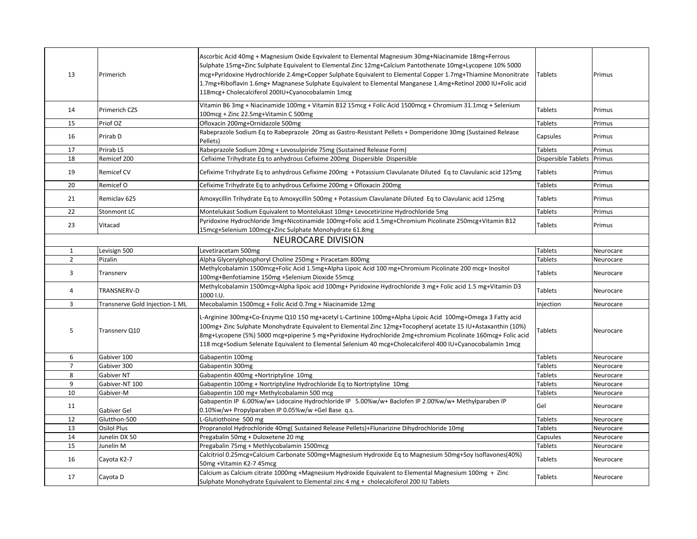| 13             | Primerich                      | Ascorbic Acid 40mg + Magnesium Oxide Eqvivalent to Elemental Magnesium 30mg+Niacinamide 18mg+Ferrous<br>Sulphate 15mg+Zinc Sulphate Equivalent to Elemental Zinc 12mg+Calcium Pantothenate 10mg+Lycopene 10% 5000<br>mcg+Pyridoxine Hydrochloride 2.4mg+Copper Sulphate Equivalent to Elemental Copper 1.7mg+Thiamine Mononitrate<br>1.7mg+Riboflavin 1.6mg+ Magnanese Sulphate Equivalent to Elemental Manganese 1.4mg+Retinol 2000 IU+Folic acid<br>118mcg+ Cholecalciferol 200IU+Cyanocobalamin 1mcg | Tablets             | Primus    |
|----------------|--------------------------------|---------------------------------------------------------------------------------------------------------------------------------------------------------------------------------------------------------------------------------------------------------------------------------------------------------------------------------------------------------------------------------------------------------------------------------------------------------------------------------------------------------|---------------------|-----------|
| 14             | Primerich CZS                  | Vitamin B6 3mg + Niacinamide 100mg + Vitamin B12 15mcg + Folic Acid 1500mcg + Chromium 31.1mcg + Selenium<br>100mcg + Zinc 22.5mg+Vitamin C 500mg                                                                                                                                                                                                                                                                                                                                                       | Tablets             | Primus    |
| 15             | Priof OZ                       | Ofloxacin 200mg+Ornidazole 500mg                                                                                                                                                                                                                                                                                                                                                                                                                                                                        | <b>Tablets</b>      | Primus    |
| 16             | Prirab D                       | Rabeprazole Sodium Eq to Rabeprazole 20mg as Gastro-Resistant Pellets + Domperidone 30mg (Sustained Release<br>Pellets)                                                                                                                                                                                                                                                                                                                                                                                 | Capsules            | Primus    |
| 17             | Prirab LS                      | Rabeprazole Sodium 20mg + Levosulpiride 75mg (Sustained Release Form)                                                                                                                                                                                                                                                                                                                                                                                                                                   | Tablets             | Primus    |
| 18             | Remicef 200                    | Cefixime Trihydrate Eq to anhydrous Cefixime 200mg Dispersible Dispersible                                                                                                                                                                                                                                                                                                                                                                                                                              | Dispersible Tablets | Primus    |
| 19             | <b>Remicef CV</b>              | Cefixime Trihydrate Eq to anhydrous Cefixime 200mg + Potassium Clavulanate Diluted Eq to Clavulanic acid 125mg                                                                                                                                                                                                                                                                                                                                                                                          | Tablets             | Primus    |
| 20             | Remicef O                      | Cefixime Trihydrate Eq to anhydrous Cefixime 200mg + Ofloxacin 200mg                                                                                                                                                                                                                                                                                                                                                                                                                                    | Tablets             | Primus    |
| 21             | Remiclav <sub>625</sub>        | Amoxycillin Trihydrate Eq to Amoxycillin 500mg + Potassium Clavulanate Diluted Eq to Clavulanic acid 125mg                                                                                                                                                                                                                                                                                                                                                                                              | Tablets             | Primus    |
| 22             | Stonmont LC                    | Montelukast Sodium Equivalent to Montelukast 10mg+ Levocetirizine Hydrochloride 5mg                                                                                                                                                                                                                                                                                                                                                                                                                     | Tablets             | Primus    |
| 23             | Vitacad                        | Pyridoxine Hydrochloride 3mg+Nicotinamide 100mg+Folic acid 1.5mg+Chromium Picolinate 250mcg+Vitamin B12<br>15mcg+Selenium 100mcg+Zinc Sulphate Monohydrate 61.8mg                                                                                                                                                                                                                                                                                                                                       | Tablets             | Primus    |
|                |                                | <b>NEUROCARE DIVISION</b>                                                                                                                                                                                                                                                                                                                                                                                                                                                                               |                     |           |
| 1              | Levisign 500                   | Levetiracetam 500mg                                                                                                                                                                                                                                                                                                                                                                                                                                                                                     | <b>Tablets</b>      | Neurocare |
| $\overline{2}$ | Pizalin                        | Alpha Glycerylphosphoryl Choline 250mg + Piracetam 800mg                                                                                                                                                                                                                                                                                                                                                                                                                                                | Tablets             | Neurocare |
|                |                                | Methylcobalamin 1500mcg+Folic Acid 1.5mg+Alpha Lipoic Acid 100 mg+Chromium Picolinate 200 mcg+ Inositol                                                                                                                                                                                                                                                                                                                                                                                                 |                     |           |
| 3              | Transnerv                      | 100mg+Benfotiamine 150mg +Selenium Dioxide 55mcg                                                                                                                                                                                                                                                                                                                                                                                                                                                        | Tablets             | Neurocare |
| 4              | TRANSNERV-D                    | Methylcobalamin 1500mcg+Alpha lipoic acid 100mg+ Pyridoxine Hydrochloride 3 mg+ Folic acid 1.5 mg+Vitamin D3<br>1000 I.U.                                                                                                                                                                                                                                                                                                                                                                               | Tablets             | Neurocare |
| 3              | Transnerve Gold Injection-1 ML | Mecobalamin 1500mcg + Folic Acid 0.7mg + Niacinamide 12mg                                                                                                                                                                                                                                                                                                                                                                                                                                               | Injection           | Neurocare |
| 5              | Transnerv Q10                  | L-Arginine 300mg+Co-Enzyme Q10 150 mg+acetyl L-Cartinine 100mg+Alpha Lipoic Acid 100mg+Omega 3 Fatty acid<br>100mg+ Zinc Sulphate Monohydrate Equivalent to Elemental Zinc 12mg+Tocopheryl acetate 15 IU+Astaxanthin (10%)<br>8mg+Lycopene (5%) 5000 mcg+piperine 5 mg+Pyridoxine Hydrochloride 2mg+chromium Picolinate 160mcg+ Folic acid<br>118 mcg+Sodium Selenate Equivalent to Elemental Selenium 40 mcg+Cholecalciferol 400 IU+Cyanocobalamin 1 mcg                                               | Tablets             | Neurocare |
| 6              | Gabiver 100                    | Gabapentin 100mg                                                                                                                                                                                                                                                                                                                                                                                                                                                                                        | <b>Tablets</b>      | Neurocare |
| $\overline{7}$ | Gabiver 300                    | Gabapentin 300mg                                                                                                                                                                                                                                                                                                                                                                                                                                                                                        | <b>Tablets</b>      | Neurocare |
| 8              | Gabiver NT                     | Gabapentin 400mg +Nortriptyline 10mg                                                                                                                                                                                                                                                                                                                                                                                                                                                                    | <b>Tablets</b>      | Neurocare |
| 9              | Gabiver-NT 100                 | Gabapentin 100mg + Nortriptyline Hydrochloride Eq to Nortriptyline 10mg                                                                                                                                                                                                                                                                                                                                                                                                                                 | <b>Tablets</b>      | Neurocare |
| 10             | Gabiver-M                      | Gabapentin 100 mg+ Methylcobalamin 500 mcg                                                                                                                                                                                                                                                                                                                                                                                                                                                              | <b>Tablets</b>      | Neurocare |
| 11             | Gabiver Gel                    | Gabapentin IP 6.00%w/w+ Lidocaine Hydrochloride IP 5.00%w/w+ Baclofen IP 2.00%w/w+ Methylparaben IP<br>0.10%w/w+ Propylparaben IP 0.05%w/w +Gel Base q.s.                                                                                                                                                                                                                                                                                                                                               | Gel                 | Neurocare |
| 12             | Glutthon-500                   | L-Glutiothoine 500 mg                                                                                                                                                                                                                                                                                                                                                                                                                                                                                   | Tablets             | Neurocare |
| 13             | Osilol Plus                    | Propranolol Hydrochloride 40mg( Sustained Release Pellets)+Flunarizine Dihydrochloride 10mg                                                                                                                                                                                                                                                                                                                                                                                                             | Tablets             | Neurocare |
| 14             | Junelin DX 50                  | Pregabalin 50mg + Duloxetene 20 mg                                                                                                                                                                                                                                                                                                                                                                                                                                                                      | Capsules            | Neurocare |
| 15             | Junelin M                      | Pregabalin 75mg + Methlycobalamin 1500mcg                                                                                                                                                                                                                                                                                                                                                                                                                                                               | Tablets             | Neurocare |
| 16             | Cayota K2-7                    | Calcitriol 0.25mcg+Calcium Carbonate 500mg+Magnesium Hydroxide Eq to Magnesium 50mg+Soy Isoflavones(40%)<br>50mg +Vitamin K2-7 45mcg                                                                                                                                                                                                                                                                                                                                                                    | Tablets             | Neurocare |
| 17             | Cayota D                       | Calcium as Calcium citrate 1000mg +Magnesium Hydroxide Equivalent to Elemental Magnesium 100mg + Zinc<br>Sulphate Monohydrate Equivalent to Elemental zinc 4 mg + cholecalciferol 200 IU Tablets                                                                                                                                                                                                                                                                                                        | Tablets             | Neurocare |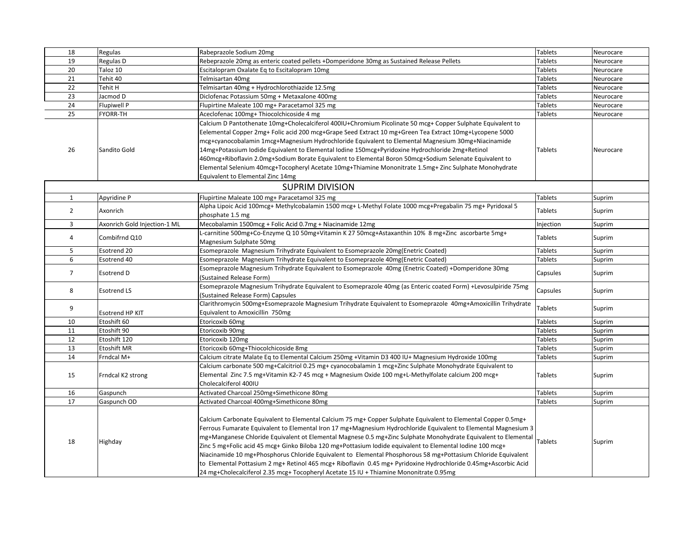| 18             | Regulas                      | Rabeprazole Sodium 20mg                                                                                         | <b>Tablets</b> | Neurocare |
|----------------|------------------------------|-----------------------------------------------------------------------------------------------------------------|----------------|-----------|
| 19             | Regulas D                    | Rebeprazole 20mg as enteric coated pellets +Domperidone 30mg as Sustained Release Pellets                       | <b>Tablets</b> | Neurocare |
| 20             | Taloz 10                     | Escitalopram Oxalate Eq to Escitalopram 10mg                                                                    | Tablets        | Neurocare |
| 21             | Tehit 40                     | Telmisartan 40mg                                                                                                | <b>Tablets</b> | Neurocare |
| 22             | Tehit H                      | Telmisartan 40mg + Hydrochlorothiazide 12.5mg                                                                   | Tablets        | Neurocare |
| 23             | Jacmod D                     | Diclofenac Potassium 50mg + Metaxalone 400mg                                                                    | <b>Tablets</b> | Neurocare |
| 24             | Flupiwell P                  | Flupirtine Maleate 100 mg+ Paracetamol 325 mg                                                                   | <b>Tablets</b> | Neurocare |
| 25             | <b>FYORR-TH</b>              | Aceclofenac 100mg+ Thiocolchicoside 4 mg                                                                        | <b>Tablets</b> | Neurocare |
|                |                              | Calcium D Pantothenate 10mg+Cholecalciferol 400IU+Chromium Picolinate 50 mcg+ Copper Sulphate Equivalent to     |                |           |
|                |                              | Eelemental Copper 2mg+ Folic acid 200 mcg+Grape Seed Extract 10 mg+Green Tea Extract 10mg+Lycopene 5000         |                |           |
|                |                              | mcg+cyanocobalamin 1mcg+Magnesium Hydrochloride Equivalent to Elemental Magnesium 30mg+Niacinamide              |                |           |
| 26             | Sandito Gold                 | 14mg+Potassium lodide Equivalent to Elemental lodine 150mcg+Pyridoxine Hydrochloride 2mg+Retinol                | <b>Tablets</b> | Neurocare |
|                |                              | 460mcg+Riboflavin 2.0mg+Sodium Borate Equivalent to Elemental Boron 50mcg+Sodium Selenate Equivalent to         |                |           |
|                |                              | Elemental Selenium 40mcg+Tocopheryl Acetate 10mg+Thiamine Mononitrate 1.5mg+ Zinc Sulphate Monohydrate          |                |           |
|                |                              | Equivalent to Elemental Zinc 14mg                                                                               |                |           |
|                |                              | <b>SUPRIM DIVISION</b>                                                                                          |                |           |
| $\mathbf{1}$   | Apyridine P                  | Flupirtine Maleate 100 mg+ Paracetamol 325 mg                                                                   | <b>Tablets</b> | Suprim    |
|                |                              | Alpha Lipoic Acid 100mcg+ Methylcobalamin 1500 mcg+ L-Methyl Folate 1000 mcg+Pregabalin 75 mg+ Pyridoxal 5      |                |           |
| $\overline{2}$ | Axonrich                     | phosphate 1.5 mg                                                                                                | Tablets        | Suprim    |
| 3              | Axonrich Gold Injection-1 ML | Mecobalamin 1500mcg + Folic Acid 0.7mg + Niacinamide 12mg                                                       | Injection      | Suprim    |
|                |                              | L-carnitine 500mg+Co-Enzyme Q 10 50mg+Vitamin K 27 50mcg+Astaxanthin 10% 8 mg+Zinc ascorbarte 5mg+              |                |           |
| 4              | Combifrnd Q10                | Magnesium Sulphate 50mg                                                                                         | Tablets        | Suprim    |
| 5              | Esotrend 20                  | Esomeprazole Magnesium Trihydrate Equivalent to Esomeprazole 20mg(Enetric Coated)                               | <b>Tablets</b> | Suprim    |
| 6              | Esotrend 40                  | Esomeprazole Magnesium Trihydrate Equivalent to Esomeprazole 40mg(Enetric Coated)                               | Tablets        | Suprim    |
| $\overline{7}$ | Esotrend D                   | Esomeprazole Magnesium Trihydrate Equivalent to Esomeprazole 40mg (Enetric Coated) +Domperidone 30mg            | Capsules       | Suprim    |
|                |                              | (Sustained Release Form)                                                                                        |                |           |
| 8              | <b>Esotrend LS</b>           | Esomeprazole Magnesium Trihydrate Equivalent to Esomeprazole 40mg (as Enteric coated Form) +Levosulpiride 75mg  | Capsules       | Suprim    |
|                |                              | (Sustained Release Form) Capsules                                                                               |                |           |
| 9              |                              | Clarithromycin 500mg+Esomeprazole Magnesium Trihydrate Equivalent to Esomeprazole 40mg+Amoxicillin Trihydrate   | Tablets        | Suprim    |
|                | Esotrend HP KIT              | Equivalent to Amoxicillin 750mg                                                                                 |                |           |
| 10             | Etoshift 60                  | Etoricoxib 60mg                                                                                                 | <b>Tablets</b> | Suprim    |
| 11             | Etoshift 90                  | Etoricoxib 90mg                                                                                                 | <b>Tablets</b> | Suprim    |
| 12             | Etoshift 120                 | Etoricoxib 120mg                                                                                                | <b>Tablets</b> | Suprim    |
| 13             | Etoshift MR                  | Etoricoxib 60mg+Thiocolchicoside 8mg                                                                            | <b>Tablets</b> | Suprim    |
| 14             | Frndcal M+                   | Calcium citrate Malate Eq to Elemental Calcium 250mg +Vitamin D3 400 IU+ Magnesium Hydroxide 100mg              | Tablets        | Suprim    |
|                |                              | Calcium carbonate 500 mg+Calcitriol 0.25 mg+ cyanocobalamin 1 mcg+Zinc Sulphate Monohydrate Equivalent to       |                |           |
| 15             | Frndcal K2 strong            | Elemental Zinc 7.5 mg+Vitamin K2-7 45 mcg + Magnesium Oxide 100 mg+L-Methylfolate calcium 200 mcg+              | Tablets        | Suprim    |
|                |                              | Cholecalciferol 400IU                                                                                           |                |           |
| 16             | Gaspunch                     | Activated Charcoal 250mg+Simethicone 80mg                                                                       | <b>Tablets</b> | Suprim    |
| 17             | Gaspunch OD                  | Activated Charcoal 400mg+Simethicone 80mg                                                                       | <b>Tablets</b> | Suprim    |
|                |                              |                                                                                                                 |                |           |
|                |                              | Calcium Carbonate Equivalent to Elemental Calcium 75 mg+ Copper Sulphate Equivalent to Elemental Copper 0.5mg+  |                |           |
|                |                              | Ferrous Fumarate Equivalent to Elemental Iron 17 mg+Magnesium Hydrochloride Equivalent to Elemental Magnesium 3 |                |           |
| 18             | Highday                      | mg+Manganese Chloride Equivalent ot Elemental Magnese 0.5 mg+Zinc Sulphate Monohydrate Equivalent to Elemental  | <b>Tablets</b> | Suprim    |
|                |                              | Zinc 5 mg+Folic acid 45 mcg+ Ginko Biloba 120 mg+Pottasium Iodide equivalent to Elemental Iodine 100 mcg+       |                |           |
|                |                              | Niacinamide 10 mg+Phosphorus Chloride Equivalent to Elemental Phosphorous 58 mg+Pottasium Chloride Equivalent   |                |           |
|                |                              | to Elemental Pottasium 2 mg+ Retinol 465 mcg+ Riboflavin 0.45 mg+ Pyridoxine Hydrochloride 0.45mg+Ascorbic Acid |                |           |
|                |                              | 24 mg+Cholecalciferol 2.35 mcg+ Tocopheryl Acetate 15 IU + Thiamine Mononitrate 0.95mg                          |                |           |